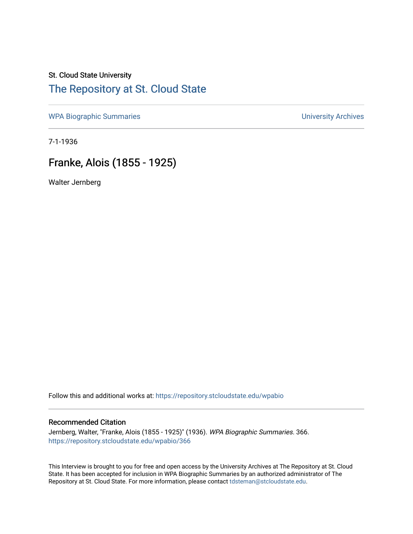## St. Cloud State University [The Repository at St. Cloud State](https://repository.stcloudstate.edu/)

[WPA Biographic Summaries](https://repository.stcloudstate.edu/wpabio) **WPA Biographic Summaries University Archives** 

7-1-1936

# Franke, Alois (1855 - 1925)

Walter Jernberg

Follow this and additional works at: [https://repository.stcloudstate.edu/wpabio](https://repository.stcloudstate.edu/wpabio?utm_source=repository.stcloudstate.edu%2Fwpabio%2F366&utm_medium=PDF&utm_campaign=PDFCoverPages) 

#### Recommended Citation

Jernberg, Walter, "Franke, Alois (1855 - 1925)" (1936). WPA Biographic Summaries. 366. [https://repository.stcloudstate.edu/wpabio/366](https://repository.stcloudstate.edu/wpabio/366?utm_source=repository.stcloudstate.edu%2Fwpabio%2F366&utm_medium=PDF&utm_campaign=PDFCoverPages) 

This Interview is brought to you for free and open access by the University Archives at The Repository at St. Cloud State. It has been accepted for inclusion in WPA Biographic Summaries by an authorized administrator of The Repository at St. Cloud State. For more information, please contact [tdsteman@stcloudstate.edu.](mailto:tdsteman@stcloudstate.edu)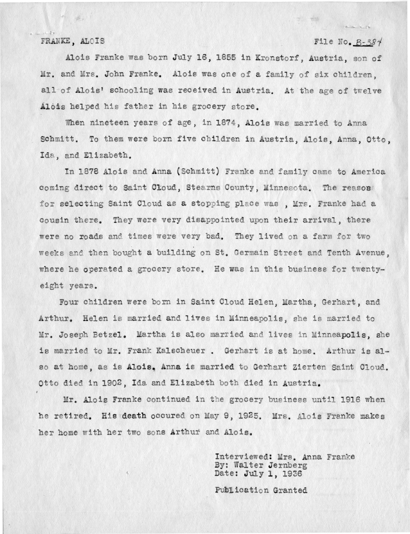#### FRANKE, ALOIS

#### File No. B-384

Alois Franke was born July 16, 1855 in Kronstorf, Austria, son of Mr. and Mrs. John Franke. Alois was one of a family of six children, all of Alois' schooling was received in Austria. At the age of twelve Alois helped his father in his grocery store.

When nineteen years of age, in 1874, Alois was married to Anna Schmitt. To them were born five children in Austria, Alois, Anna, Otto, Ida, and Elizabeth.

In 1878 Alois and Anna (Schmitt) Franke and family came to America coming direct to Saint Ckoud, Stearns County, Minnesota. The reason for selecting Saint Cloud as a stopping place was, Mrs. Franke had a cousin there. They were very disappointed upon their arrival, there were no roads and times were very bad. They lived on a farm for two weeks and then bought a building on St. Germain Street and Tenth Avenue. where he operated a grocery store. He was in this business for twentyeight years.

Four children were born in Saint Cloud Helen, Martha, Gerhart, and Arthur. Helen is married and lives in Minneapolis, she is married to Mr. Joseph Betzel. Martha is also married and lives in Minneapolis, she is married to Mr. Frank Kalscheuer. Gerhart is at home. Arthur is also at home, as is Alois. Anna is married to Gerhart Zierten Saint Cloud. Otto died in 1902. Ida and Elizabeth both died in Austria.

Mr. Alois Franke continued in the grocery business until 1916 when he retired. His death occured on May 9, 1925. Mrs. Alois Franke makes her home with her two sons Arthur and Alois.

> Interviewed: Mrs. Anna Franke By: Walter Jernberg Date: July 1, 1936

Publication Granted